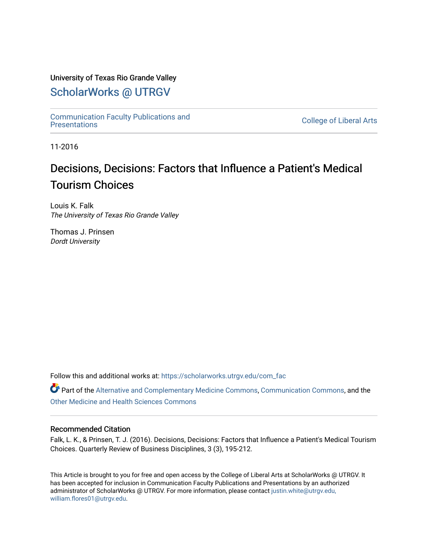#### University of Texas Rio Grande Valley

# [ScholarWorks @ UTRGV](https://scholarworks.utrgv.edu/)

[Communication Faculty Publications and](https://scholarworks.utrgv.edu/com_fac) 

**College of Liberal Arts** 

11-2016

# Decisions, Decisions: Factors that Influence a Patient's Medical Tourism Choices

Louis K. Falk The University of Texas Rio Grande Valley

Thomas J. Prinsen Dordt University

Follow this and additional works at: [https://scholarworks.utrgv.edu/com\\_fac](https://scholarworks.utrgv.edu/com_fac?utm_source=scholarworks.utrgv.edu%2Fcom_fac%2F50&utm_medium=PDF&utm_campaign=PDFCoverPages)

Part of the [Alternative and Complementary Medicine Commons,](http://network.bepress.com/hgg/discipline/649?utm_source=scholarworks.utrgv.edu%2Fcom_fac%2F50&utm_medium=PDF&utm_campaign=PDFCoverPages) [Communication Commons,](http://network.bepress.com/hgg/discipline/325?utm_source=scholarworks.utrgv.edu%2Fcom_fac%2F50&utm_medium=PDF&utm_campaign=PDFCoverPages) and the [Other Medicine and Health Sciences Commons](http://network.bepress.com/hgg/discipline/772?utm_source=scholarworks.utrgv.edu%2Fcom_fac%2F50&utm_medium=PDF&utm_campaign=PDFCoverPages)

#### Recommended Citation

Falk, L. K., & Prinsen, T. J. (2016). Decisions, Decisions: Factors that Influence a Patient's Medical Tourism Choices. Quarterly Review of Business Disciplines, 3 (3), 195-212.

This Article is brought to you for free and open access by the College of Liberal Arts at ScholarWorks @ UTRGV. It has been accepted for inclusion in Communication Faculty Publications and Presentations by an authorized administrator of ScholarWorks @ UTRGV. For more information, please contact [justin.white@utrgv.edu,](mailto:justin.white@utrgv.edu,%20william.flores01@utrgv.edu)  [william.flores01@utrgv.edu](mailto:justin.white@utrgv.edu,%20william.flores01@utrgv.edu).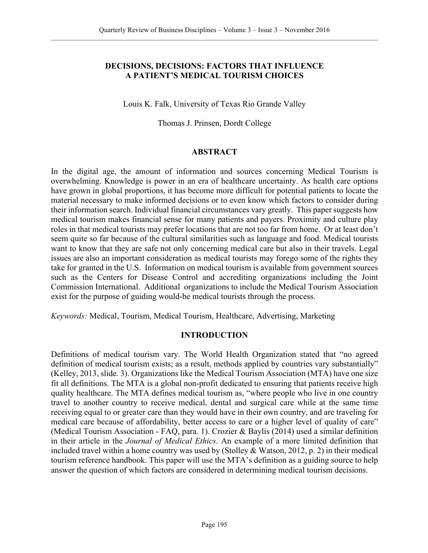#### **DECISIONS, DECISIONS: FACTORS THAT INFLUENCE A PATIENT'S MEDICAL TOURISM CHOICES**

#### Louis K. Falk, University of Texas Rio Grande Valley

#### Thomas J. Prinsen, Dordt College

#### **ABSTRACT**

In the digital age, the amount of information and sources concerning Medical Tourism is overwhelming. Knowledge is power in an era of healthcare uncertainty. As health care options have grown in global proportions, it has become more difficult for potential patients to locate the material necessary to make informed decisions or to even know which factors to consider during their information search. Individual financial circumstances vary greatly. This paper suggests how medical tourism makes financial sense for many patients and payers. Proximity and culture play roles in that medical tourists may prefer locations that are not too far from home. Or at least don't seem quite so far because of the cultural similarities such as language and food. Medical tourists want to know that they are safe not only concerning medical care but also in their travels. Legal issues are also an important consideration as medical tourists may forego some of the rights they take for granted in the U.S. Information on medical tourism is available from government sources such as the Centers for Disease Control and accrediting organizations including the Joint Commission International. Additional organizations to include the Medical Tourism Association exist for the purpose of guiding would-be medical tourists through the process.

*Keywords:* Medical, Tourism, Medical Tourism, Healthcare, Advertising, Marketing

#### **INTRODUCTION**

Definitions of medical tourism vary. The World Health Organization stated that "no agreed definition of medical tourism exists; as a result, methods applied by countries vary substantially" (Kelley, 2013, slide. 3). Organizations like the Medical Tourism Association (MTA) have one size fit all definitions. The MTA is a global non-profit dedicated to ensuring that patients receive high quality healthcare. The MTA defines medical tourism as, "where people who live in one country travel to another country to receive medical, dental and surgical care while at the same time receiving equal to or greater care than they would have in their own country, and are traveling for medical care because of affordability, better access to care or a higher level of quality of care" (Medical Tourism Association - FAQ, para. 1). Crozier & Baylis (2014) used a similar definition in their article in the *Journal of Medical Ethics*. An example of a more limited definition that included travel within a home country was used by (Stolley & Watson, 2012, p. 2) in their medical tourism reference handbook. This paper will use the MTA's definition as a guiding source to help answer the question of which factors are considered in determining medical tourism decisions.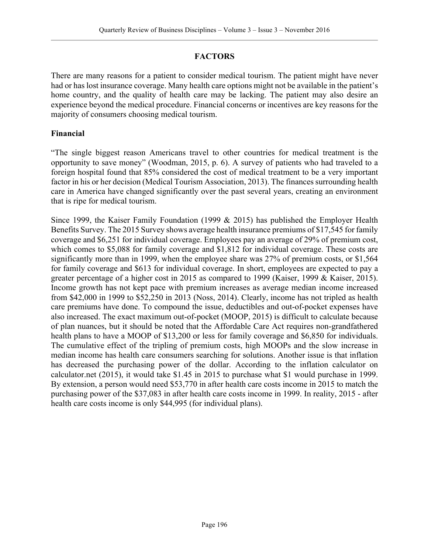### **FACTORS**

There are many reasons for a patient to consider medical tourism. The patient might have never had or has lost insurance coverage. Many health care options might not be available in the patient's home country, and the quality of health care may be lacking. The patient may also desire an experience beyond the medical procedure. Financial concerns or incentives are key reasons for the majority of consumers choosing medical tourism.

#### **Financial**

"The single biggest reason Americans travel to other countries for medical treatment is the opportunity to save money" (Woodman, 2015, p. 6). A survey of patients who had traveled to a foreign hospital found that 85% considered the cost of medical treatment to be a very important factor in his or her decision (Medical Tourism Association, 2013). The finances surrounding health care in America have changed significantly over the past several years, creating an environment that is ripe for medical tourism.

Since 1999, the Kaiser Family Foundation (1999 & 2015) has published the Employer Health Benefits Survey. The 2015 Survey shows average health insurance premiums of \$17,545 for family coverage and \$6,251 for individual coverage. Employees pay an average of 29% of premium cost, which comes to \$5,088 for family coverage and \$1,812 for individual coverage. These costs are significantly more than in 1999, when the employee share was 27% of premium costs, or \$1,564 for family coverage and \$613 for individual coverage. In short, employees are expected to pay a greater percentage of a higher cost in 2015 as compared to 1999 (Kaiser, 1999 & Kaiser, 2015). Income growth has not kept pace with premium increases as average median income increased from \$42,000 in 1999 to \$52,250 in 2013 (Noss, 2014). Clearly, income has not tripled as health care premiums have done. To compound the issue, deductibles and out-of-pocket expenses have also increased. The exact maximum out-of-pocket (MOOP, 2015) is difficult to calculate because of plan nuances, but it should be noted that the Affordable Care Act requires non-grandfathered health plans to have a MOOP of \$13,200 or less for family coverage and \$6,850 for individuals. The cumulative effect of the tripling of premium costs, high MOOPs and the slow increase in median income has health care consumers searching for solutions. Another issue is that inflation has decreased the purchasing power of the dollar. According to the inflation calculator on calculator.net (2015), it would take \$1.45 in 2015 to purchase what \$1 would purchase in 1999. By extension, a person would need \$53,770 in after health care costs income in 2015 to match the purchasing power of the \$37,083 in after health care costs income in 1999. In reality, 2015 - after health care costs income is only \$44,995 (for individual plans).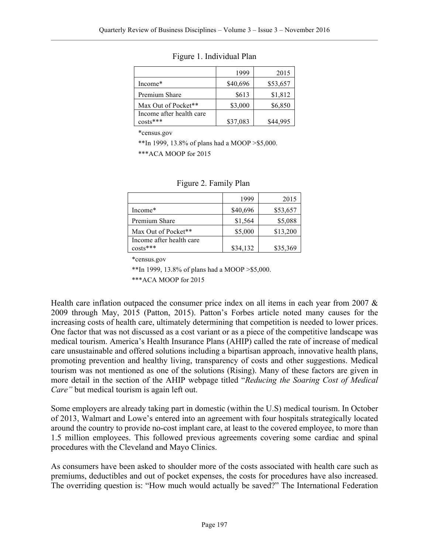|                          | 1999     | 2015     |
|--------------------------|----------|----------|
| Income*                  | \$40,696 | \$53,657 |
| Premium Share            | \$613    | \$1,812  |
| Max Out of Pocket**      | \$3,000  | \$6,850  |
| Income after health care |          |          |
| $costs***$               | \$37,083 | \$44 995 |

Figure 1. Individual Plan

\*census.gov

\*\*In 1999, 13.8% of plans had a MOOP >\$5,000.

\*\*\*ACA MOOP for 2015

|                          | 1999     | 2015     |
|--------------------------|----------|----------|
| Income*                  | \$40,696 | \$53,657 |
| Premium Share            | \$1,564  | \$5,088  |
| Max Out of Pocket**      | \$5,000  | \$13,200 |
| Income after health care |          |          |
| $costs***$               | \$34,132 | \$35,369 |

#### Figure 2. Family Plan

\*census.gov

\*\*In 1999, 13.8% of plans had a MOOP >\$5,000.

\*\*\*ACA MOOP for 2015

Health care inflation outpaced the consumer price index on all items in each year from 2007  $\&$ 2009 through May, 2015 (Patton, 2015). Patton's Forbes article noted many causes for the increasing costs of health care, ultimately determining that competition is needed to lower prices. One factor that was not discussed as a cost variant or as a piece of the competitive landscape was medical tourism. America's Health Insurance Plans (AHIP) called the rate of increase of medical care unsustainable and offered solutions including a bipartisan approach, innovative health plans, promoting prevention and healthy living, transparency of costs and other suggestions. Medical tourism was not mentioned as one of the solutions (Rising). Many of these factors are given in more detail in the section of the AHIP webpage titled "*Reducing the Soaring Cost of Medical Care"* but medical tourism is again left out.

Some employers are already taking part in domestic (within the U.S) medical tourism. In October of 2013, Walmart and Lowe's entered into an agreement with four hospitals strategically located around the country to provide no-cost implant care, at least to the covered employee, to more than 1.5 million employees. This followed previous agreements covering some cardiac and spinal procedures with the Cleveland and Mayo Clinics.

As consumers have been asked to shoulder more of the costs associated with health care such as premiums, deductibles and out of pocket expenses, the costs for procedures have also increased. The overriding question is: "How much would actually be saved?" The International Federation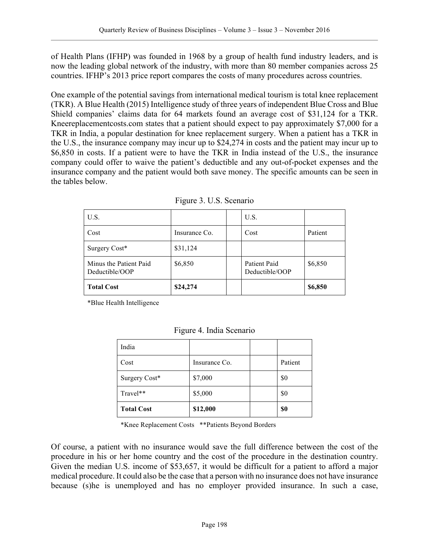of Health Plans (IFHP) was founded in 1968 by a group of health fund industry leaders, and is now the leading global network of the industry, with more than 80 member companies across 25 countries. IFHP's 2013 price report compares the costs of many procedures across countries.

One example of the potential savings from international medical tourism is total knee replacement (TKR). A Blue Health (2015) Intelligence study of three years of independent Blue Cross and Blue Shield companies' claims data for 64 markets found an average cost of \$31,124 for a TKR. Kneereplacementcosts.com states that a patient should expect to pay approximately \$7,000 for a TKR in India, a popular destination for knee replacement surgery. When a patient has a TKR in the U.S., the insurance company may incur up to \$24,274 in costs and the patient may incur up to \$6,850 in costs. If a patient were to have the TKR in India instead of the U.S., the insurance company could offer to waive the patient's deductible and any out-of-pocket expenses and the insurance company and the patient would both save money. The specific amounts can be seen in the tables below.

| U.S.                                     |               | U.S.                           |         |
|------------------------------------------|---------------|--------------------------------|---------|
| Cost                                     | Insurance Co. | Cost                           | Patient |
| Surgery Cost*                            | \$31,124      |                                |         |
| Minus the Patient Paid<br>Deductible/OOP | \$6,850       | Patient Paid<br>Deductible/OOP | \$6,850 |
| <b>Total Cost</b>                        | \$24,274      |                                | \$6,850 |

| Figure 3. U.S. Scenario |  |  |
|-------------------------|--|--|
|                         |  |  |

\*Blue Health Intelligence

| India             |               |         |
|-------------------|---------------|---------|
| Cost              | Insurance Co. | Patient |
| Surgery Cost*     | \$7,000       | \$0     |
| Travel**          | \$5,000       | \$0     |
| <b>Total Cost</b> | \$12,000      | \$0     |

Figure 4. India Scenario

\*Knee Replacement Costs \*\*Patients Beyond Borders

Of course, a patient with no insurance would save the full difference between the cost of the procedure in his or her home country and the cost of the procedure in the destination country. Given the median U.S. income of \$53,657, it would be difficult for a patient to afford a major medical procedure. It could also be the case that a person with no insurance does not have insurance because (s)he is unemployed and has no employer provided insurance. In such a case,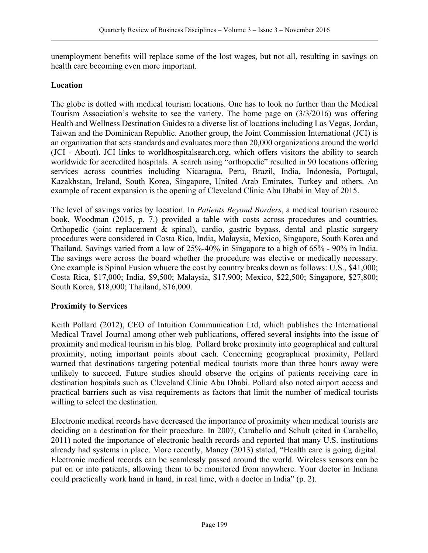unemployment benefits will replace some of the lost wages, but not all, resulting in savings on health care becoming even more important.

#### **Location**

The globe is dotted with medical tourism locations. One has to look no further than the Medical Tourism Association's website to see the variety. The home page on (3/3/2016) was offering Health and Wellness Destination Guides to a diverse list of locations including Las Vegas, Jordan, Taiwan and the Dominican Republic. Another group, the Joint Commission International (JCI) is an organization that sets standards and evaluates more than 20,000 organizations around the world (JCI - About). JCI links to worldhospitalsearch.org, which offers visitors the ability to search worldwide for accredited hospitals. A search using "orthopedic" resulted in 90 locations offering services across countries including Nicaragua, Peru, Brazil, India, Indonesia, Portugal, Kazakhstan, Ireland, South Korea, Singapore, United Arab Emirates, Turkey and others. An example of recent expansion is the opening of Cleveland Clinic Abu Dhabi in May of 2015.

The level of savings varies by location. In *Patients Beyond Borders*, a medical tourism resource book, Woodman (2015, p. 7.) provided a table with costs across procedures and countries. Orthopedic (joint replacement & spinal), cardio, gastric bypass, dental and plastic surgery procedures were considered in Costa Rica, India, Malaysia, Mexico, Singapore, South Korea and Thailand. Savings varied from a low of 25%-40% in Singapore to a high of 65% - 90% in India. The savings were across the board whether the procedure was elective or medically necessary. One example is Spinal Fusion whuere the cost by country breaks down as follows: U.S., \$41,000; Costa Rica, \$17,000; India, \$9,500; Malaysia, \$17,900; Mexico, \$22,500; Singapore, \$27,800; South Korea, \$18,000; Thailand, \$16,000.

#### **Proximity to Services**

Keith Pollard (2012), CEO of Intuition Communication Ltd, which publishes the International Medical Travel Journal among other web publications, offered several insights into the issue of proximity and medical tourism in his blog. Pollard broke proximity into geographical and cultural proximity, noting important points about each. Concerning geographical proximity, Pollard warned that destinations targeting potential medical tourists more than three hours away were unlikely to succeed. Future studies should observe the origins of patients receiving care in destination hospitals such as Cleveland Clinic Abu Dhabi. Pollard also noted airport access and practical barriers such as visa requirements as factors that limit the number of medical tourists willing to select the destination.

Electronic medical records have decreased the importance of proximity when medical tourists are deciding on a destination for their procedure. In 2007, Carabello and Schult (cited in Carabello, 2011) noted the importance of electronic health records and reported that many U.S. institutions already had systems in place. More recently, Maney (2013) stated, "Health care is going digital. Electronic medical records can be seamlessly passed around the world. Wireless sensors can be put on or into patients, allowing them to be monitored from anywhere. Your doctor in Indiana could practically work hand in hand, in real time, with a doctor in India" (p. 2).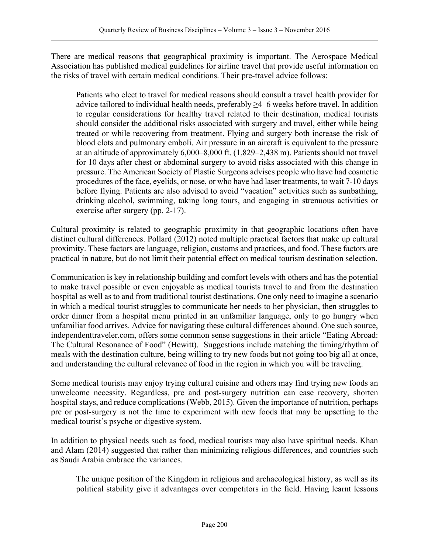There are medical reasons that geographical proximity is important. The Aerospace Medical Association has published medical guidelines for airline travel that provide useful information on the risks of travel with certain medical conditions. Their pre-travel advice follows:

Patients who elect to travel for medical reasons should consult a travel health provider for advice tailored to individual health needs, preferably ≥4–6 weeks before travel. In addition to regular considerations for healthy travel related to their destination, medical tourists should consider the additional risks associated with surgery and travel, either while being treated or while recovering from treatment. Flying and surgery both increase the risk of blood clots and pulmonary emboli. Air pressure in an aircraft is equivalent to the pressure at an altitude of approximately 6,000–8,000 ft. (1,829–2,438 m). Patients should not travel for 10 days after chest or abdominal surgery to avoid risks associated with this change in pressure. The American Society of Plastic Surgeons advises people who have had cosmetic procedures of the face, eyelids, or nose, or who have had laser treatments, to wait 7-10 days before flying. Patients are also advised to avoid "vacation" activities such as sunbathing, drinking alcohol, swimming, taking long tours, and engaging in strenuous activities or exercise after surgery (pp. 2-17).

Cultural proximity is related to geographic proximity in that geographic locations often have distinct cultural differences. Pollard (2012) noted multiple practical factors that make up cultural proximity. These factors are language, religion, customs and practices, and food. These factors are practical in nature, but do not limit their potential effect on medical tourism destination selection.

Communication is key in relationship building and comfort levels with others and has the potential to make travel possible or even enjoyable as medical tourists travel to and from the destination hospital as well as to and from traditional tourist destinations. One only need to imagine a scenario in which a medical tourist struggles to communicate her needs to her physician, then struggles to order dinner from a hospital menu printed in an unfamiliar language, only to go hungry when unfamiliar food arrives. Advice for navigating these cultural differences abound. One such source, independenttraveler.com, offers some common sense suggestions in their article "Eating Abroad: The Cultural Resonance of Food" (Hewitt). Suggestions include matching the timing/rhythm of meals with the destination culture, being willing to try new foods but not going too big all at once, and understanding the cultural relevance of food in the region in which you will be traveling.

Some medical tourists may enjoy trying cultural cuisine and others may find trying new foods an unwelcome necessity. Regardless, pre and post-surgery nutrition can ease recovery, shorten hospital stays, and reduce complications (Webb, 2015). Given the importance of nutrition, perhaps pre or post-surgery is not the time to experiment with new foods that may be upsetting to the medical tourist's psyche or digestive system.

In addition to physical needs such as food, medical tourists may also have spiritual needs. Khan and Alam (2014) suggested that rather than minimizing religious differences, and countries such as Saudi Arabia embrace the variances.

The unique position of the Kingdom in religious and archaeological history, as well as its political stability give it advantages over competitors in the field. Having learnt lessons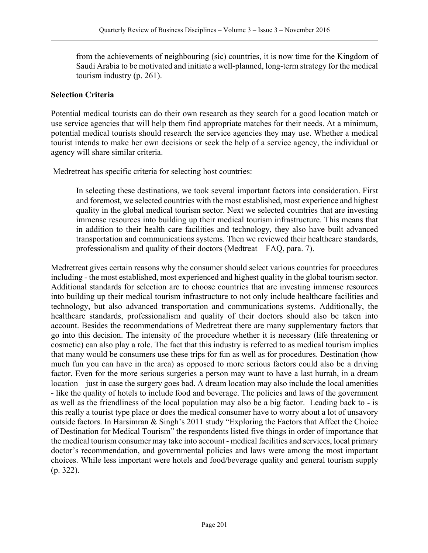from the achievements of neighbouring (sic) countries, it is now time for the Kingdom of Saudi Arabia to be motivated and initiate a well-planned, long-term strategy for the medical tourism industry (p. 261).

#### **Selection Criteria**

Potential medical tourists can do their own research as they search for a good location match or use service agencies that will help them find appropriate matches for their needs. At a minimum, potential medical tourists should research the service agencies they may use. Whether a medical tourist intends to make her own decisions or seek the help of a service agency, the individual or agency will share similar criteria.

Medretreat has specific criteria for selecting host countries:

In selecting these destinations, we took several important factors into consideration. First and foremost, we selected countries with the most established, most experience and highest quality in the global medical tourism sector. Next we selected countries that are investing immense resources into building up their medical tourism infrastructure. This means that in addition to their health care facilities and technology, they also have built advanced transportation and communications systems. Then we reviewed their healthcare standards, professionalism and quality of their doctors (Medtreat – FAQ, para. 7).

Medretreat gives certain reasons why the consumer should select various countries for procedures including - the most established, most experienced and highest quality in the global tourism sector. Additional standards for selection are to choose countries that are investing immense resources into building up their medical tourism infrastructure to not only include healthcare facilities and technology, but also advanced transportation and communications systems. Additionally, the healthcare standards, professionalism and quality of their doctors should also be taken into account. Besides the recommendations of Medretreat there are many supplementary factors that go into this decision. The intensity of the procedure whether it is necessary (life threatening or cosmetic) can also play a role. The fact that this industry is referred to as medical tourism implies that many would be consumers use these trips for fun as well as for procedures. Destination (how much fun you can have in the area) as opposed to more serious factors could also be a driving factor. Even for the more serious surgeries a person may want to have a last hurrah, in a dream location – just in case the surgery goes bad. A dream location may also include the local amenities - like the quality of hotels to include food and beverage. The policies and laws of the government as well as the friendliness of the local population may also be a big factor. Leading back to - is this really a tourist type place or does the medical consumer have to worry about a lot of unsavory outside factors. In Harsimran & Singh's 2011 study "Exploring the Factors that Affect the Choice of Destination for Medical Tourism" the respondents listed five things in order of importance that the medical tourism consumer may take into account - medical facilities and services, local primary doctor's recommendation, and governmental policies and laws were among the most important choices. While less important were hotels and food/beverage quality and general tourism supply (p. 322).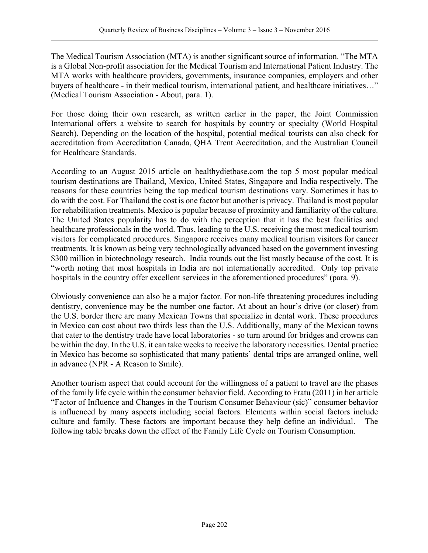The Medical Tourism Association (MTA) is another significant source of information. "The MTA is a Global Non-profit association for the Medical Tourism and International Patient Industry. The MTA works with healthcare providers, governments, insurance companies, employers and other buyers of healthcare - in their medical tourism, international patient, and healthcare initiatives..." (Medical Tourism Association - About, para. 1).

For those doing their own research, as written earlier in the paper, the Joint Commission International offers a website to search for hospitals by country or specialty (World Hospital Search). Depending on the location of the hospital, potential medical tourists can also check for accreditation from Accreditation Canada, QHA Trent Accreditation, and the Australian Council for Healthcare Standards.

According to an August 2015 article on healthydietbase.com the top 5 most popular medical tourism destinations are Thailand, Mexico, United States, Singapore and India respectively. The reasons for these countries being the top medical tourism destinations vary. Sometimes it has to do with the cost. For Thailand the cost is one factor but another is privacy. Thailand is most popular for rehabilitation treatments. Mexico is popular because of proximity and familiarity of the culture. The United States popularity has to do with the perception that it has the best facilities and healthcare professionals in the world. Thus, leading to the U.S. receiving the most medical tourism visitors for complicated procedures. Singapore receives many medical tourism visitors for cancer treatments. It is known as being very technologically advanced based on the government investing \$300 million in biotechnology research. India rounds out the list mostly because of the cost. It is "worth noting that most hospitals in India are not internationally accredited. Only top private hospitals in the country offer excellent services in the aforementioned procedures" (para. 9).

Obviously convenience can also be a major factor. For non-life threatening procedures including dentistry, convenience may be the number one factor. At about an hour's drive (or closer) from the U.S. border there are many Mexican Towns that specialize in dental work. These procedures in Mexico can cost about two thirds less than the U.S. Additionally, many of the Mexican towns that cater to the dentistry trade have local laboratories - so turn around for bridges and crowns can be within the day. In the U.S. it can take weeks to receive the laboratory necessities. Dental practice in Mexico has become so sophisticated that many patients' dental trips are arranged online, well in advance (NPR - A Reason to Smile).

Another tourism aspect that could account for the willingness of a patient to travel are the phases of the family life cycle within the consumer behavior field. According to Fratu (2011) in her article "Factor of Influence and Changes in the Tourism Consumer Behaviour (sic)" consumer behavior is influenced by many aspects including social factors. Elements within social factors include culture and family. These factors are important because they help define an individual. The following table breaks down the effect of the Family Life Cycle on Tourism Consumption.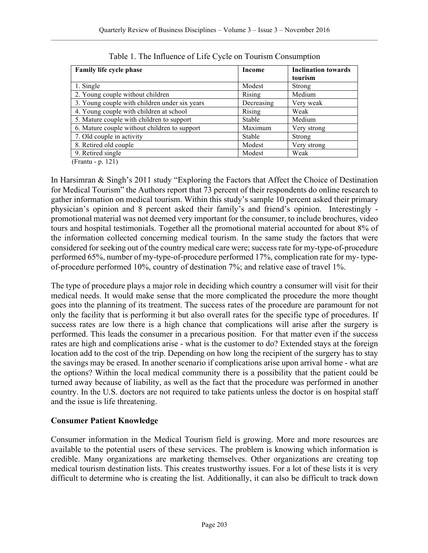| <b>Family life cycle phase</b>                | Income     | <b>Inclination towards</b> |
|-----------------------------------------------|------------|----------------------------|
|                                               |            | tourism                    |
| 1. Single                                     | Modest     | Strong                     |
| 2. Young couple without children              | Rising     | Medium                     |
| 3. Young couple with children under six years | Decreasing | Very weak                  |
| 4. Young couple with children at school       | Rising     | Weak                       |
| 5. Mature couple with children to support     | Stable     | Medium                     |
| 6. Mature couple without children to support  | Maximum    | Very strong                |
| 7. Old couple in activity                     | Stable     | Strong                     |
| 8. Retired old couple                         | Modest     | Very strong                |
| 9. Retired single                             | Modest     | Weak                       |

Table 1. The Influence of Life Cycle on Tourism Consumption

(Frantu - p. 121)

In Harsimran & Singh's 2011 study "Exploring the Factors that Affect the Choice of Destination for Medical Tourism" the Authors report that 73 percent of their respondents do online research to gather information on medical tourism. Within this study's sample 10 percent asked their primary physician's opinion and 8 percent asked their family's and friend's opinion. Interestingly promotional material was not deemed very important for the consumer, to include brochures, video tours and hospital testimonials. Together all the promotional material accounted for about 8% of the information collected concerning medical tourism. In the same study the factors that were considered for seeking out of the country medical care were; success rate for my-type-of-procedure performed 65%, number of my-type-of-procedure performed 17%, complication rate for my- typeof-procedure performed 10%, country of destination 7%; and relative ease of travel 1%.

The type of procedure plays a major role in deciding which country a consumer will visit for their medical needs. It would make sense that the more complicated the procedure the more thought goes into the planning of its treatment. The success rates of the procedure are paramount for not only the facility that is performing it but also overall rates for the specific type of procedures. If success rates are low there is a high chance that complications will arise after the surgery is performed. This leads the consumer in a precarious position. For that matter even if the success rates are high and complications arise - what is the customer to do? Extended stays at the foreign location add to the cost of the trip. Depending on how long the recipient of the surgery has to stay the savings may be erased. In another scenario if complications arise upon arrival home - what are the options? Within the local medical community there is a possibility that the patient could be turned away because of liability, as well as the fact that the procedure was performed in another country. In the U.S. doctors are not required to take patients unless the doctor is on hospital staff and the issue is life threatening.

# **Consumer Patient Knowledge**

Consumer information in the Medical Tourism field is growing. More and more resources are available to the potential users of these services. The problem is knowing which information is credible. Many organizations are marketing themselves. Other organizations are creating top medical tourism destination lists. This creates trustworthy issues. For a lot of these lists it is very difficult to determine who is creating the list. Additionally, it can also be difficult to track down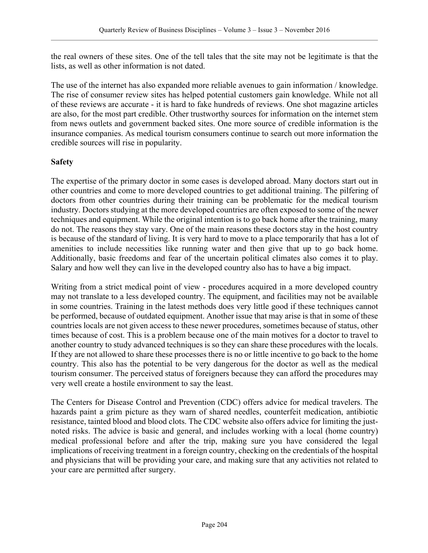the real owners of these sites. One of the tell tales that the site may not be legitimate is that the lists, as well as other information is not dated.

The use of the internet has also expanded more reliable avenues to gain information / knowledge. The rise of consumer review sites has helped potential customers gain knowledge. While not all of these reviews are accurate - it is hard to fake hundreds of reviews. One shot magazine articles are also, for the most part credible. Other trustworthy sources for information on the internet stem from news outlets and government backed sites. One more source of credible information is the insurance companies. As medical tourism consumers continue to search out more information the credible sources will rise in popularity.

#### **Safety**

The expertise of the primary doctor in some cases is developed abroad. Many doctors start out in other countries and come to more developed countries to get additional training. The pilfering of doctors from other countries during their training can be problematic for the medical tourism industry. Doctors studying at the more developed countries are often exposed to some of the newer techniques and equipment. While the original intention is to go back home after the training, many do not. The reasons they stay vary. One of the main reasons these doctors stay in the host country is because of the standard of living. It is very hard to move to a place temporarily that has a lot of amenities to include necessities like running water and then give that up to go back home. Additionally, basic freedoms and fear of the uncertain political climates also comes it to play. Salary and how well they can live in the developed country also has to have a big impact.

Writing from a strict medical point of view - procedures acquired in a more developed country may not translate to a less developed country. The equipment, and facilities may not be available in some countries. Training in the latest methods does very little good if these techniques cannot be performed, because of outdated equipment. Another issue that may arise is that in some of these countries locals are not given access to these newer procedures, sometimes because of status, other times because of cost. This is a problem because one of the main motives for a doctor to travel to another country to study advanced techniques is so they can share these procedures with the locals. If they are not allowed to share these processes there is no or little incentive to go back to the home country. This also has the potential to be very dangerous for the doctor as well as the medical tourism consumer. The perceived status of foreigners because they can afford the procedures may very well create a hostile environment to say the least.

The Centers for Disease Control and Prevention (CDC) offers advice for medical travelers. The hazards paint a grim picture as they warn of shared needles, counterfeit medication, antibiotic resistance, tainted blood and blood clots. The CDC website also offers advice for limiting the justnoted risks. The advice is basic and general, and includes working with a local (home country) medical professional before and after the trip, making sure you have considered the legal implications of receiving treatment in a foreign country, checking on the credentials of the hospital and physicians that will be providing your care, and making sure that any activities not related to your care are permitted after surgery.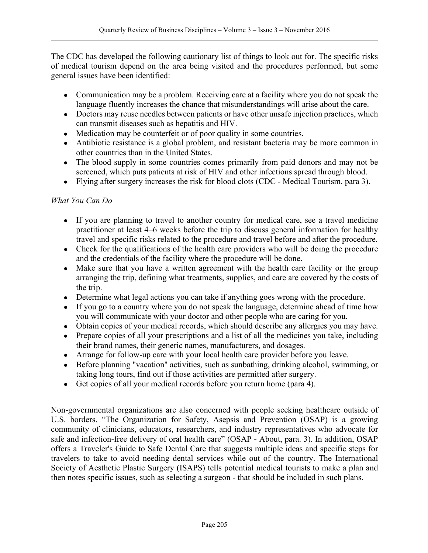The CDC has developed the following cautionary list of things to look out for. The specific risks of medical tourism depend on the area being visited and the procedures performed, but some general issues have been identified:

- Communication may be a problem. Receiving care at a facility where you do not speak the language fluently increases the chance that misunderstandings will arise about the care.
- Doctors may reuse needles between patients or have other unsafe injection practices, which can transmit diseases such as hepatitis and HIV.
- Medication may be counterfeit or of poor quality in some countries.
- Antibiotic resistance is a global problem, and resistant bacteria may be more common in other countries than in the United States.
- The blood supply in some countries comes primarily from paid donors and may not be screened, which puts patients at risk of HIV and other infections spread through blood.
- Flying after surgery increases the risk for blood clots (CDC Medical Tourism. para 3).

# *What You Can Do*

- If you are planning to travel to another country for medical care, see a travel medicine practitioner at least 4–6 weeks before the trip to discuss general information for healthy travel and specific risks related to the procedure and travel before and after the procedure.
- Check for the qualifications of the health care providers who will be doing the procedure and the credentials of the facility where the procedure will be done.
- Make sure that you have a written agreement with the health care facility or the group arranging the trip, defining what treatments, supplies, and care are covered by the costs of the trip.
- Determine what legal actions you can take if anything goes wrong with the procedure.
- If you go to a country where you do not speak the language, determine ahead of time how you will communicate with your doctor and other people who are caring for you.
- Obtain copies of your medical records, which should describe any allergies you may have.
- Prepare copies of all your prescriptions and a list of all the medicines you take, including their brand names, their generic names, manufacturers, and dosages.
- Arrange for follow-up care with your local health care provider before you leave.
- Before planning "vacation" activities, such as sunbathing, drinking alcohol, swimming, or taking long tours, find out if those activities are permitted after surgery.
- Get copies of all your medical records before you return home (para 4).

Non-governmental organizations are also concerned with people seeking healthcare outside of U.S. borders. "The Organization for Safety, Asepsis and Prevention (OSAP) is a growing community of clinicians, educators, researchers, and industry representatives who advocate for safe and infection-free delivery of oral health care" (OSAP - About, para. 3). In addition, OSAP offers a Traveler's Guide to Safe Dental Care that suggests multiple ideas and specific steps for travelers to take to avoid needing dental services while out of the country. The International Society of Aesthetic Plastic Surgery (ISAPS) tells potential medical tourists to make a plan and then notes specific issues, such as selecting a surgeon - that should be included in such plans.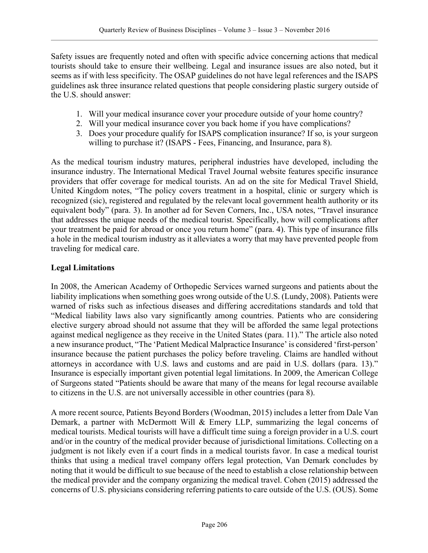Safety issues are frequently noted and often with specific advice concerning actions that medical tourists should take to ensure their wellbeing. Legal and insurance issues are also noted, but it seems as if with less specificity. The OSAP guidelines do not have legal references and the ISAPS guidelines ask three insurance related questions that people considering plastic surgery outside of the U.S. should answer:

- 1. Will your medical insurance cover your procedure outside of your home country?
- 2. Will your medical insurance cover you back home if you have complications?
- 3. Does your procedure qualify for ISAPS complication insurance? If so, is your surgeon willing to purchase it? (ISAPS - Fees, Financing, and Insurance, para 8).

As the medical tourism industry matures, peripheral industries have developed, including the insurance industry. The International Medical Travel Journal website features specific insurance providers that offer coverage for medical tourists. An ad on the site for Medical Travel Shield, United Kingdom notes, "The policy covers treatment in a hospital, clinic or surgery which is recognized (sic), registered and regulated by the relevant local government health authority or its equivalent body" (para. 3). In another ad for Seven Corners, Inc., USA notes, "Travel insurance that addresses the unique needs of the medical tourist. Specifically, how will complications after your treatment be paid for abroad or once you return home" (para. 4). This type of insurance fills a hole in the medical tourism industry as it alleviates a worry that may have prevented people from traveling for medical care.

# **Legal Limitations**

In 2008, the American Academy of Orthopedic Services warned surgeons and patients about the liability implications when something goes wrong outside of the U.S. (Lundy, 2008). Patients were warned of risks such as infectious diseases and differing accreditations standards and told that "Medical liability laws also vary significantly among countries. Patients who are considering elective surgery abroad should not assume that they will be afforded the same legal protections against medical negligence as they receive in the United States (para. 11)." The article also noted a new insurance product, "The 'Patient Medical Malpractice Insurance' is considered 'first-person' insurance because the patient purchases the policy before traveling. Claims are handled without attorneys in accordance with U.S. laws and customs and are paid in U.S. dollars (para. 13)." Insurance is especially important given potential legal limitations. In 2009, the American College of Surgeons stated "Patients should be aware that many of the means for legal recourse available to citizens in the U.S. are not universally accessible in other countries (para 8).

A more recent source, Patients Beyond Borders (Woodman, 2015) includes a letter from Dale Van Demark, a partner with McDermott Will & Emery LLP, summarizing the legal concerns of medical tourists. Medical tourists will have a difficult time suing a foreign provider in a U.S. court and/or in the country of the medical provider because of jurisdictional limitations. Collecting on a judgment is not likely even if a court finds in a medical tourists favor. In case a medical tourist thinks that using a medical travel company offers legal protection, Van Demark concludes by noting that it would be difficult to sue because of the need to establish a close relationship between the medical provider and the company organizing the medical travel. Cohen (2015) addressed the concerns of U.S. physicians considering referring patients to care outside of the U.S. (OUS). Some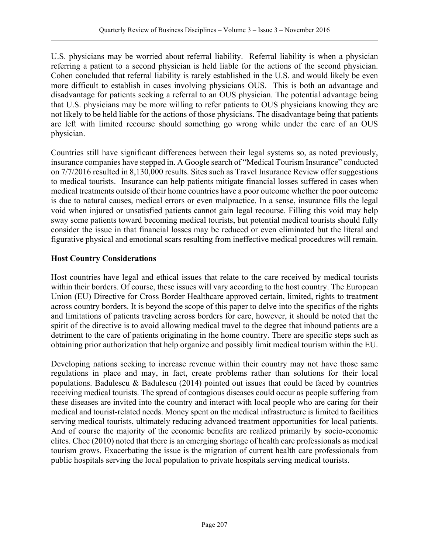U.S. physicians may be worried about referral liability. Referral liability is when a physician referring a patient to a second physician is held liable for the actions of the second physician. Cohen concluded that referral liability is rarely established in the U.S. and would likely be even more difficult to establish in cases involving physicians OUS. This is both an advantage and disadvantage for patients seeking a referral to an OUS physician. The potential advantage being that U.S. physicians may be more willing to refer patients to OUS physicians knowing they are not likely to be held liable for the actions of those physicians. The disadvantage being that patients are left with limited recourse should something go wrong while under the care of an OUS physician.

Countries still have significant differences between their legal systems so, as noted previously, insurance companies have stepped in. A Google search of "Medical Tourism Insurance" conducted on 7/7/2016 resulted in 8,130,000 results. Sites such as Travel Insurance Review offer suggestions to medical tourists. Insurance can help patients mitigate financial losses suffered in cases when medical treatments outside of their home countries have a poor outcome whether the poor outcome is due to natural causes, medical errors or even malpractice. In a sense, insurance fills the legal void when injured or unsatisfied patients cannot gain legal recourse. Filling this void may help sway some patients toward becoming medical tourists, but potential medical tourists should fully consider the issue in that financial losses may be reduced or even eliminated but the literal and figurative physical and emotional scars resulting from ineffective medical procedures will remain.

# **Host Country Considerations**

Host countries have legal and ethical issues that relate to the care received by medical tourists within their borders. Of course, these issues will vary according to the host country. The European Union (EU) Directive for Cross Border Healthcare approved certain, limited, rights to treatment across country borders. It is beyond the scope of this paper to delve into the specifics of the rights and limitations of patients traveling across borders for care, however, it should be noted that the spirit of the directive is to avoid allowing medical travel to the degree that inbound patients are a detriment to the care of patients originating in the home country. There are specific steps such as obtaining prior authorization that help organize and possibly limit medical tourism within the EU.

Developing nations seeking to increase revenue within their country may not have those same regulations in place and may, in fact, create problems rather than solutions for their local populations. Badulescu  $\&$  Badulescu (2014) pointed out issues that could be faced by countries receiving medical tourists. The spread of contagious diseases could occur as people suffering from these diseases are invited into the country and interact with local people who are caring for their medical and tourist-related needs. Money spent on the medical infrastructure is limited to facilities serving medical tourists, ultimately reducing advanced treatment opportunities for local patients. And of course the majority of the economic benefits are realized primarily by socio-economic elites. Chee (2010) noted that there is an emerging shortage of health care professionals as medical tourism grows. Exacerbating the issue is the migration of current health care professionals from public hospitals serving the local population to private hospitals serving medical tourists.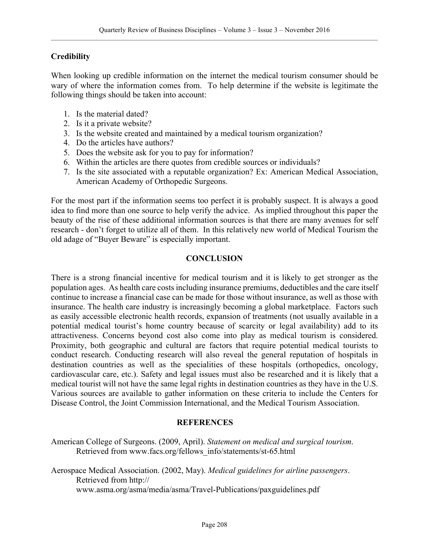# **Credibility**

When looking up credible information on the internet the medical tourism consumer should be wary of where the information comes from. To help determine if the website is legitimate the following things should be taken into account:

- 1. Is the material dated?
- 2. Is it a private website?
- 3. Is the website created and maintained by a medical tourism organization?
- 4. Do the articles have authors?
- 5. Does the website ask for you to pay for information?
- 6. Within the articles are there quotes from credible sources or individuals?
- 7. Is the site associated with a reputable organization? Ex: American Medical Association, American Academy of Orthopedic Surgeons.

For the most part if the information seems too perfect it is probably suspect. It is always a good idea to find more than one source to help verify the advice. As implied throughout this paper the beauty of the rise of these additional information sources is that there are many avenues for self research - don't forget to utilize all of them. In this relatively new world of Medical Tourism the old adage of "Buyer Beware" is especially important.

#### **CONCLUSION**

There is a strong financial incentive for medical tourism and it is likely to get stronger as the population ages. As health care costs including insurance premiums, deductibles and the care itself continue to increase a financial case can be made for those without insurance, as well as those with insurance. The health care industry is increasingly becoming a global marketplace. Factors such as easily accessible electronic health records, expansion of treatments (not usually available in a potential medical tourist's home country because of scarcity or legal availability) add to its attractiveness. Concerns beyond cost also come into play as medical tourism is considered. Proximity, both geographic and cultural are factors that require potential medical tourists to conduct research. Conducting research will also reveal the general reputation of hospitals in destination countries as well as the specialities of these hospitals (orthopedics, oncology, cardiovascular care, etc.). Safety and legal issues must also be researched and it is likely that a medical tourist will not have the same legal rights in destination countries as they have in the U.S. Various sources are available to gather information on these criteria to include the Centers for Disease Control, the Joint Commission International, and the Medical Tourism Association.

#### **REFERENCES**

- American College of Surgeons. (2009, April). *Statement on medical and surgical tourism*. Retrieved from www.facs.org/fellows\_info/statements/st-65.html
- Aerospace Medical Association. (2002, May). *Medical guidelines for airline passengers*. Retrieved from http:// www.asma.org/asma/media/asma/Travel-Publications/paxguidelines.pdf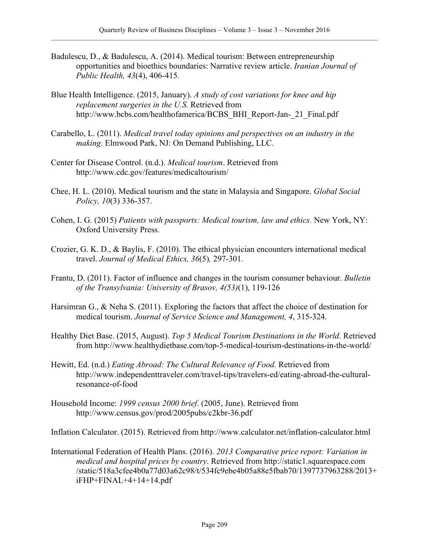- Badulescu, D., & Badulescu, A. (2014). Medical tourism: Between entrepreneurship opportunities and bioethics boundaries: Narrative review article. *Iranian Journal of Public Health, 43*(4), 406-415*.*
- Blue Health Intelligence. (2015, January). *A study of cost variations for knee and hip replacement surgeries in the U.S.* Retrieved from http://www.bcbs.com/healthofamerica/BCBS\_BHI\_Report-Jan-\_21\_Final.pdf
- Carabello, L. (2011). *Medical travel today opinions and perspectives on an industry in the making.* Elmwood Park, NJ: On Demand Publishing, LLC.
- Center for Disease Control. (n.d.). *Medical tourism*. Retrieved from http://www.cdc.gov/features/medicaltourism/
- Chee, H. L. (2010). Medical tourism and the state in Malaysia and Singapore. *Global Social Policy, 10*(3) 336-357.
- Cohen, I. G. (2015) *Patients with passports: Medical tourism, law and ethics.* New York, NY: Oxford University Press.
- Crozier, G. K. D., & Baylis, F. (2010). The ethical physician encounters international medical travel. *Journal of Medical Ethics, 36*(5)*,* 297-301*.*
- Frantu, D. (2011). Factor of influence and changes in the tourism consumer behaviour. *Bulletin of the Transylvania: University of Brasov, 4(53)*(1), 119-126
- Harsimran G., & Neha S. (2011). Exploring the factors that affect the choice of destination for medical tourism. *Journal of Service Science and Management, 4*, 315-324.
- Healthy Diet Base. (2015, August). *Top 5 Medical Tourism Destinations in the World*. Retrieved from http://www.healthydietbase.com/top-5-medical-tourism-destinations-in-the-world/
- Hewitt, Ed. (n.d.) *Eating Abroad: The Cultural Relevance of Food.* Retrieved from http://www.independenttraveler.com/travel-tips/travelers-ed/eating-abroad-the-culturalresonance-of-food
- Household Income: *1999 census 2000 brief*. (2005, June). Retrieved from http://www.census.gov/prod/2005pubs/c2kbr-36.pdf

Inflation Calculator. (2015). Retrieved from http://www.calculator.net/inflation-calculator.html

International Federation of Health Plans. (2016). *2013 Comparative price report: Variation in medical and hospital prices by country*. Retrieved from http://static1.squarespace.com /static/518a3cfee4b0a77d03a62c98/t/534fc9ebe4b05a88e5fbab70/1397737963288/2013+ iFHP+FINAL+4+14+14.pdf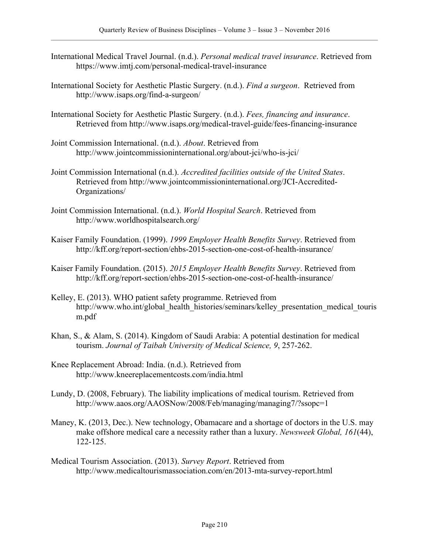- International Medical Travel Journal. (n.d.). *Personal medical travel insurance*. Retrieved from https://www.imtj.com/personal-medical-travel-insurance
- International Society for Aesthetic Plastic Surgery. (n.d.). *Find a surgeon*. Retrieved from http://www.isaps.org/find-a-surgeon/
- International Society for Aesthetic Plastic Surgery. (n.d.). *Fees, financing and insurance*. Retrieved from http://www.isaps.org/medical-travel-guide/fees-financing-insurance
- Joint Commission International. (n.d.). *About*. Retrieved from http://www.jointcommissioninternational.org/about-jci/who-is-jci/
- Joint Commission International (n.d.). *Accredited facilities outside of the United States*. Retrieved from http://www.jointcommissioninternational.org/JCI-Accredited-Organizations/
- Joint Commission International. (n.d.). *World Hospital Search*. Retrieved from http://www.worldhospitalsearch.org/
- Kaiser Family Foundation. (1999). *1999 Employer Health Benefits Survey*. Retrieved from http://kff.org/report-section/ehbs-2015-section-one-cost-of-health-insurance/
- Kaiser Family Foundation. (2015). *2015 Employer Health Benefits Survey*. Retrieved from http://kff.org/report-section/ehbs-2015-section-one-cost-of-health-insurance/
- Kelley, E. (2013). WHO patient safety programme. Retrieved from http://www.who.int/global\_health\_histories/seminars/kelley\_presentation\_medical\_touris m.pdf
- Khan, S., & Alam, S. (2014). Kingdom of Saudi Arabia: A potential destination for medical tourism. *Journal of Taibah University of Medical Science, 9*, 257-262.
- Knee Replacement Abroad: India. (n.d.). Retrieved from http://www.kneereplacementcosts.com/india.html
- Lundy, D. (2008, February). The liability implications of medical tourism. Retrieved from http://www.aaos.org/AAOSNow/2008/Feb/managing/managing7/?ssopc=1
- Maney, K. (2013, Dec.). New technology, Obamacare and a shortage of doctors in the U.S. may make offshore medical care a necessity rather than a luxury. *Newsweek Global, 161*(44), 122-125.
- Medical Tourism Association. (2013). *Survey Report*. Retrieved from http://www.medicaltourismassociation.com/en/2013-mta-survey-report.html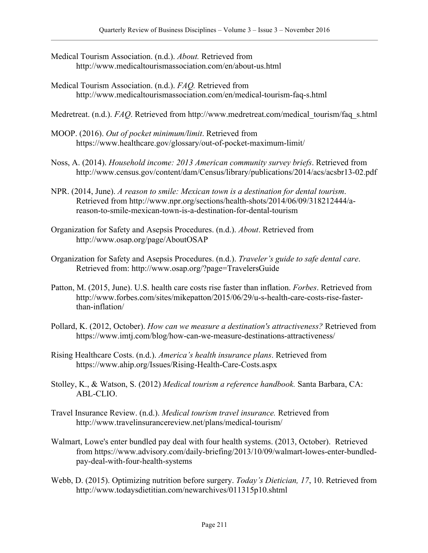- Medical Tourism Association. (n.d.). *About.* Retrieved from http://www.medicaltourismassociation.com/en/about-us.html
- Medical Tourism Association. (n.d.). *FAQ.* Retrieved from http://www.medicaltourismassociation.com/en/medical-tourism-faq-s.html

Medretreat. (n.d.). *FAQ*. Retrieved from http://www.medretreat.com/medical\_tourism/faq\_s.html

- MOOP. (2016). *Out of pocket minimum/limit*. Retrieved from https://www.healthcare.gov/glossary/out-of-pocket-maximum-limit/
- Noss, A. (2014). *Household income: 2013 American community survey briefs*. Retrieved from http://www.census.gov/content/dam/Census/library/publications/2014/acs/acsbr13-02.pdf
- NPR. (2014, June). *A reason to smile: Mexican town is a destination for dental tourism*. Retrieved from http://www.npr.org/sections/health-shots/2014/06/09/318212444/areason-to-smile-mexican-town-is-a-destination-for-dental-tourism
- Organization for Safety and Asepsis Procedures. (n.d.). *About*. Retrieved from http://www.osap.org/page/AboutOSAP
- Organization for Safety and Asepsis Procedures. (n.d.). *Traveler's guide to safe dental care*. Retrieved from: http://www.osap.org/?page=TravelersGuide
- Patton, M. (2015, June). U.S. health care costs rise faster than inflation. *Forbes*. Retrieved from http://www.forbes.com/sites/mikepatton/2015/06/29/u-s-health-care-costs-rise-fasterthan-inflation/
- Pollard, K. (2012, October). *How can we measure a destination's attractiveness?* Retrieved from https://www.imtj.com/blog/how-can-we-measure-destinations-attractiveness/
- Rising Healthcare Costs. (n.d.). *America's health insurance plans*. Retrieved from https://www.ahip.org/Issues/Rising-Health-Care-Costs.aspx
- Stolley, K., & Watson, S. (2012) *Medical tourism a reference handbook.* Santa Barbara, CA: ABL-CLIO.
- Travel Insurance Review. (n.d.). *Medical tourism travel insurance.* Retrieved from http://www.travelinsurancereview.net/plans/medical-tourism/
- Walmart, Lowe's enter bundled pay deal with four health systems. (2013, October). Retrieved from https://www.advisory.com/daily-briefing/2013/10/09/walmart-lowes-enter-bundledpay-deal-with-four-health-systems
- Webb, D. (2015). Optimizing nutrition before surgery. *Today's Dietician, 17*, 10. Retrieved from http://www.todaysdietitian.com/newarchives/011315p10.shtml